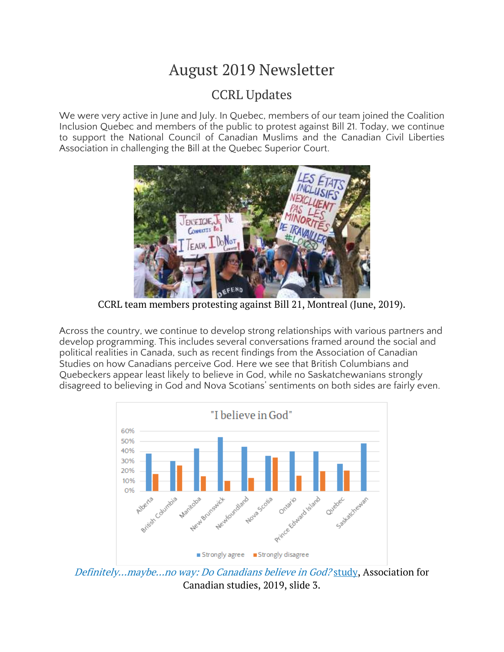# August 2019 Newsletter

# CCRL Updates

We were very active in June and July. In Quebec, members of our team joined the Coalition Inclusion Quebec and members of the public to protest against Bill 21. Today, we continue to support the National Council of Canadian Muslims and the Canadian Civil Liberties Association in challenging the Bill at the Quebec Superior Court.



CCRL team members protesting against Bill 21, Montreal (June, 2019).

Across the country, we continue to develop strong relationships with various partners and develop programming. This includes several conversations framed around the social and political realities in Canada, such as recent findings from the Association of Canadian Studies on how Canadians perceive God. Here we see that British Columbians and Quebeckers appear least likely to believe in God, while no Saskatchewanians strongly disagreed to believing in God and Nova Scotians' sentiments on both sides are fairly even.



[Definitely…maybe…no](https://acs-aec.ca/wp-content/uploads/2019/07/ACS-Do-Canadians-Believe-in-God-EN.pdf) way: Do Canadians believe in God? study, Association for Canadian studies, 2019, slide 3.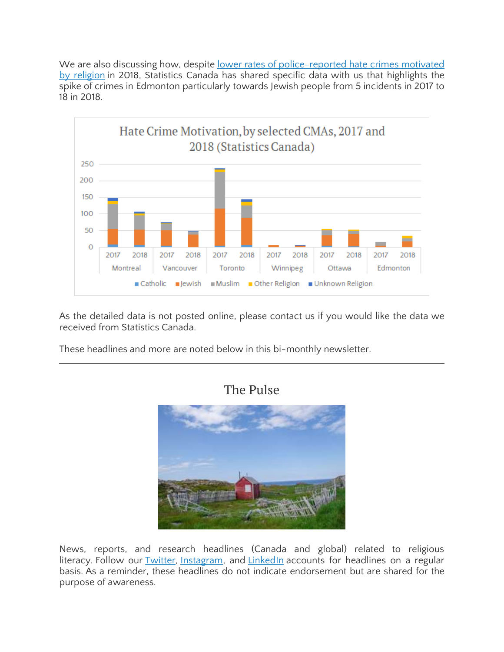We are also discussing how, despite lower rates of [police-reported](https://www150.statcan.gc.ca/t1/tbl1/en/tv.action?pid=3510006601) hate crimes motivated by [religion](https://www150.statcan.gc.ca/t1/tbl1/en/tv.action?pid=3510006601) in 2018, Statistics Canada has shared specific data with us that highlights the spike of crimes in Edmonton particularly towards Jewish people from 5 incidents in 2017 to 18 in 2018.



As the detailed data is not posted online, please contact us if you would like the data we received from Statistics Canada.

These headlines and more are noted below in this bi-monthly newsletter.



#### News, reports, and research headlines (Canada and global) related to religious literacy. Follow our [Twitter,](https://twitter.com/CcrlClrc) [Instagram,](https://www.instagram.com/ccrl.clrc/) and [LinkedIn](https://www.linkedin.com/company/ccrl-clrc/) accounts for headlines on a regular basis. As a reminder, these headlines do not indicate endorsement but are shared for the purpose of awareness.

## The Pulse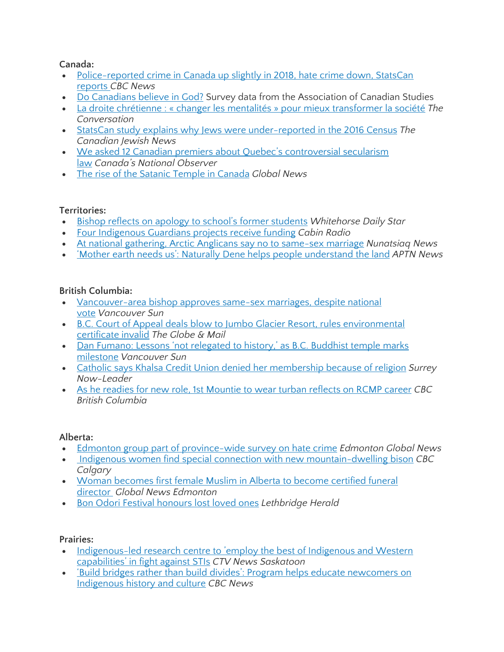#### **Canada:**

- [Police-reported](https://www.cbc.ca/news/politics/police-reported-crime-statistics-canada-1.5219995) crime in Canada up slightly in 2018, hate crime down, StatsCan [reports](https://www.cbc.ca/news/politics/police-reported-crime-statistics-canada-1.5219995) *CBC News*
- Do [Canadians](https://acs-aec.ca/wp-content/uploads/2019/07/ACS-Do-Canadians-Believe-in-God-EN.pdf) believe in God? Survey data from the Association of Canadian Studies
- La droite chrétienne : « changer les mentalités » pour mieux [transformer](https://theconversation.com/la-droite-chretienne-changer-les-mentalites-pour-mieux-transformer-la-societe-120563?utm_medium=email&utm_campaign=Latest%20from%20The%20Conversation%20for%20July%2024%202019&utm_content=Latest%20from%20The%20Conversation%20for%20July%2024%202019+CID_762209e4f67c3c20db624138757493ae&utm_source=campaign_monitor_ca&utm_term=La%20droite%20chrtienne%20%20%20changer%20les%20mentalits%20%20pour%20mieux%20transformer%20la%20socit) la société *The Conversation*
- StatsCan study explains why Jews were [under-reported](https://www.cjnews.com/news/canada/statscan-study-finds-jews-were-under-reported-in-the-2016-census) in the 2016 Census *The Canadian Jewish News*
- We asked 12 Canadian premiers about Quebec's [controversial](https://www.nationalobserver.com/2019/07/16/news/we-asked-12-canadian-premiers-about-quebecs-controversial-secularism-law) secularism [law](https://www.nationalobserver.com/2019/07/16/news/we-asked-12-canadian-premiers-about-quebecs-controversial-secularism-law) *Canada's National Observer*
- The rise of the Satanic Temple in [Canada](https://globalnews.ca/news/5488632/satanic-temple-canada/) *Global News*

### **Territories:**

- Bishop reflects on apology to school's former [students](https://www.whitehorsestar.com/News/bishop-reflects-on-apology-to-school-s-former-students) *Whitehorse Daily Star*
- Four [Indigenous](https://cabinradio.ca/18736/news/environment/four-indigenous-guardians-projects-receive-funding/) Guardians projects receive funding *Cabin Radio*
- At national gathering, Arctic Anglicans say no to [same-sex](https://nunatsiaq.com/stories/article/at-national-gathering-arctic-anglicans-say-no-to-same-sex-marriage/) marriage *Nunatsiaq News*
- 'Mother earth needs us': Naturally Dene helps people [understand](https://aptnnews.ca/2019/07/14/mother-earth-needs-us-naturally-dene-helps-people-understand-the-land/) the land *APTN News*

### **British Columbia:**

- [Vancouver-area](https://vancouversun.com/news/local-news/vancouver-area-bishop-approves-same-sex-marriages-despite-national-vote) bishop approves same-sex marriages, despite national [vote](https://vancouversun.com/news/local-news/vancouver-area-bishop-approves-same-sex-marriages-despite-national-vote) *Vancouver Sun*
- B.C. Court of Appeal deals blow to Jumbo Glacier Resort, rules [environmental](https://www.theglobeandmail.com/canada/british-columbia/article-bc-court-of-appeal-deals-blow-to-jumbo-glacier-resort-rules/) [certificate](https://www.theglobeandmail.com/canada/british-columbia/article-bc-court-of-appeal-deals-blow-to-jumbo-glacier-resort-rules/) invalid *The Globe & Mail*
- Dan Fumano: Lessons 'not [relegated](https://vancouversun.com/news/local-news/dan-fumano-lessons-not-relegated-to-history-as-b-c-buddhist-temple-marks-milestone) to history,' as B.C. Buddhist temple marks [milestone](https://vancouversun.com/news/local-news/dan-fumano-lessons-not-relegated-to-history-as-b-c-buddhist-temple-marks-milestone) *Vancouver Sun*
- Catholic says Khalsa Credit Union denied her [membership](https://www.surreynowleader.com/news/catholic-says-khalsa-credit-union-denied-her-membership-because-of-religion/) because of religion *Surrey Now-Leader*
- As he readies for new role, 1st [Mountie](https://www.cbc.ca/news/canada/british-columbia/baltej-dhillon-1st-turban-wearing-rcmp-officer-retires-1.5233535) to wear turban reflects on RCMP career *CBC British Columbia*

### **Alberta:**

- Edmonton group part of [province-wide](https://globalnews.ca/news/5734109/edmonton-alberta-survey-hate-crime/) survey on hate crime *Edmonton Global News*
- Indigenous women find special connection with new [mountain-dwelling](https://www.cbc.ca/news/canada/calgary/bison-buffalo-spiritual-experience-1.5211445) bison *CBC Calgary*
- Woman [becomes](https://globalnews.ca/video/5673271/woman-becomes-first-female-muslim-in-alberta-to-become-certified-funeral-director) first female Muslim in Alberta to become certified funeral [director](https://globalnews.ca/video/5673271/woman-becomes-first-female-muslim-in-alberta-to-become-certified-funeral-director) *Global News Edmonton*
- Bon Odori Festival [honours](https://lethbridgeherald.com/news/lethbridge-news/2019/07/22/bon-odori-honours-lost-loved-ones/) lost loved ones *Lethbridge Herald*

### **Prairies:**

- [Indigenous-led](https://saskatoon.ctvnews.ca/indigenous-led-research-centre-to-employ-the-best-of-indigenous-and-western-capabilities-in-fight-against-stis-1.4513858) research centre to 'employ the best of Indigenous and Western [capabilities'](https://saskatoon.ctvnews.ca/indigenous-led-research-centre-to-employ-the-best-of-indigenous-and-western-capabilities-in-fight-against-stis-1.4513858) in fight against STIs *CTV News Saskatoon*
- 'Build bridges rather than build divides': Program helps educate [newcomers](https://www.cbc.ca/news/canada/saskatchewan/immigrants-indigenous-relationships-education-1.5231134) on [Indigenous](https://www.cbc.ca/news/canada/saskatchewan/immigrants-indigenous-relationships-education-1.5231134) history and culture *CBC News*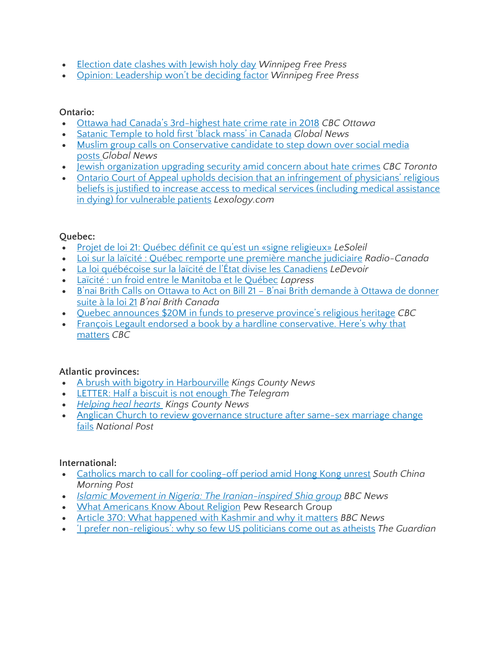- [Election](https://www.winnipegfreepress.com/arts-and-life/life/faith/election-date-clashes-with-jewish-holy-day-513321222.html) date clashes with Jewish holy day *Winnipeg Free Press*
- Opinion: [Leadership](https://www.winnipegfreepress.com/opinion/analysis/leadership-wont-be-deciding-factor-513533732.html) won't be deciding factor *Winnipeg Free Press*

#### **Ontario:**

- Ottawa had Canada's [3rd-highest](https://www.cbc.ca/news/canada/ottawa/ottawa-hate-crimes-statistics-canada-third-worst-1.5220219) hate crime rate in 2018 *CBC Ottawa*
- Satanic Temple to hold first 'black mass' in [Canada](https://globalnews.ca/news/5734621/satanic-temple-black-mass-canada/) *Global News*
- Muslim group calls on [Conservative](https://globalnews.ca/news/5721380/ghada-melek-conservative-candidate/) candidate to step down over social media [posts](https://globalnews.ca/news/5721380/ghada-melek-conservative-candidate/) *Global News*
- Jewish [organization](https://www.cbc.ca/news/canada/toronto/places-of-worship-jewish-organizations-community-centre-security-concerns-1.5239193) upgrading security amid concern about hate crimes *CBC Toronto*
- Ontario Court of Appeal upholds decision that an [infringement](https://www.lexology.com/library/detail.aspx?g=4dfa87d4-a18a-4bf7-a334-eaf9691715a5) of physicians' religious beliefs is justified to increase access to medical services (including medical [assistance](https://www.lexology.com/library/detail.aspx?g=4dfa87d4-a18a-4bf7-a334-eaf9691715a5) in dying) for [vulnerable](https://www.lexology.com/library/detail.aspx?g=4dfa87d4-a18a-4bf7-a334-eaf9691715a5) patients *Lexology.com*

#### **Quebec:**

- Projet de loi 21: Québec définit ce qu'est un «signe [religieux»](https://www.lesoleil.com/actualite/politique/projet-de-loi-21-quebec-definit-ce-quest-un-signe-religieux-e68202eb6cabb29ae089198b8c881118) *LeSoleil*
- Loi sur la laïcité : Québec [remporte](https://ici.radio-canada.ca/nouvelle/1227686/loi-laicite-gouvernement-legault-contestation-judiciaire) une première manche judiciaire *Radio-Canada*
- La loi [québécoise](https://www.ledevoir.com/politique/quebec/558474/la-loi-quebecoise-sur-la-laicite-de-l-etat-divise-les-canadiens) sur la laïcité de l'État divise les Canadiens *LeDevoir*
- Laïcité : un froid entre le [Manitoba](https://www.lapresse.ca/actualites/national/201907/11/01-5233565-laicite-un-froid-entre-le-manitoba-et-le-quebec.php) et le Québec *Lapress*
- B'nai Brith Calls on Ottawa to Act on Bill 21 B'nai Brith [demande](https://www.bnaibrith.ca/b_nai_brith_calls_on_ottawa_to_act_on_bill_21) à Ottawa de donner [suite](https://www.bnaibrith.ca/b_nai_brith_calls_on_ottawa_to_act_on_bill_21) à la loi 21 *B'nai Brith Canada*
- Quebec [announces](https://www.cbc.ca/news/canada/montreal/quebec-religious-heritage-funding-1.5236410) \$20M in funds to preserve province's religious heritage *CBC*
- François Legault endorsed a book by a hardline [conservative.](https://www.cbc.ca/news/canada/montreal/fran%C3%A7ois-legault-bock-cote-1.5235897) Here's why that [matters](https://www.cbc.ca/news/canada/montreal/fran%C3%A7ois-legault-bock-cote-1.5235897) *CBC*

#### **Atlantic provinces:**

- A brush with bigotry in [Harbourville](https://www.kingscountynews.ca/news/regional/a-brush-with-bigotry-in-harbourville-335563/) *Kings County News*
- [LETTER:](https://www.thetelegram.com/opinion/letter-to-the-editor/letter-half-a-biscuit-is-not-enough-337411/) Half a biscuit is not enough *The Telegram*
- *[Helping](https://www.kingscountynews.ca/living/helping-heal-hearts-336815/) heal hearts Kings County News*
- Anglican Church to review [governance](https://nationalpost.com/pmn/news-pmn/canada-news-pmn/anglican-church-to-review-governance-structure-after-same-sex-marriage-change-fails) structure after same-sex marriage change [fails](https://nationalpost.com/pmn/news-pmn/canada-news-pmn/anglican-church-to-review-governance-structure-after-same-sex-marriage-change-fails) *National Post*

#### **International:**

- Catholics march to call for [cooling-off](https://www.scmp.com/news/hong-kong/politics/article/3022051/catholics-march-call-cooling-period-amid-hong-kongs) period amid Hong Kong unrest *South China Morning Post*
- *Islamic Movement in Nigeria: The [Iranian-inspired](https://www.bbc.com/news/world-africa-49175639) Shia group BBC News*
- What [Americans](https://www.pewforum.org/2019/07/23/what-americans-know-about-religion/) Know About Religion Pew Research Group
- Article 370: What [happened](https://www.bbc.com/news/world-asia-india-49234708) with Kashmir and why it matters *BBC News*
- 'I prefer non-religious': why so few US [politicians](https://www.theguardian.com/world/2019/aug/03/athiesm-us-politics-2020-election-religious-beliefs) come out as atheists *The Guardian*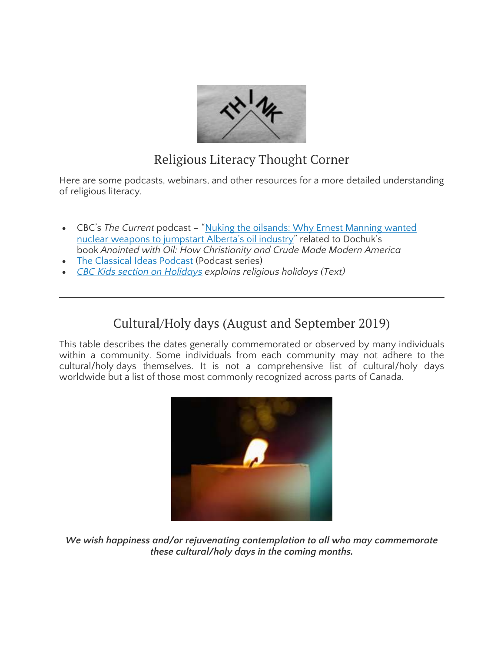

# Religious Literacy Thought Corner

Here are some podcasts, webinars, and other resources for a more detailed understanding of religious literacy.

- CBC's *The Current* podcast "Nuking the [oilsands:](https://www.cbc.ca/radio/thecurrent/nuking-the-oilsands-why-ernest-manning-wanted-nuclear-weapons-to-jumpstart-alberta-s-oil-industry-1.5214690) Why Ernest Manning wanted nuclear weapons to [jumpstart](https://www.cbc.ca/radio/thecurrent/nuking-the-oilsands-why-ernest-manning-wanted-nuclear-weapons-to-jumpstart-alberta-s-oil-industry-1.5214690) Alberta's oil industry" related to Dochuk's book *Anointed with Oil: How Christianity and Crude Made Modern America*
- The [Classical](https://classicalideaspodcast.libsyn.com/) Ideas Podcast (Podcast series)
- *CBC Kids section on [Holidays](https://www.cbc.ca/kidscbc2/explore/holidays) explains religious holidays (Text)*

# Cultural/Holy days (August and September 2019)

This table describes the dates generally commemorated or observed by many individuals within a community. Some individuals from each community may not adhere to the cultural/holy days themselves. It is not a comprehensive list of cultural/holy days worldwide but a list of those most commonly recognized across parts of Canada.



*We wish happiness and/or rejuvenating contemplation to all who may commemorate these cultural/holy days in the coming months.*